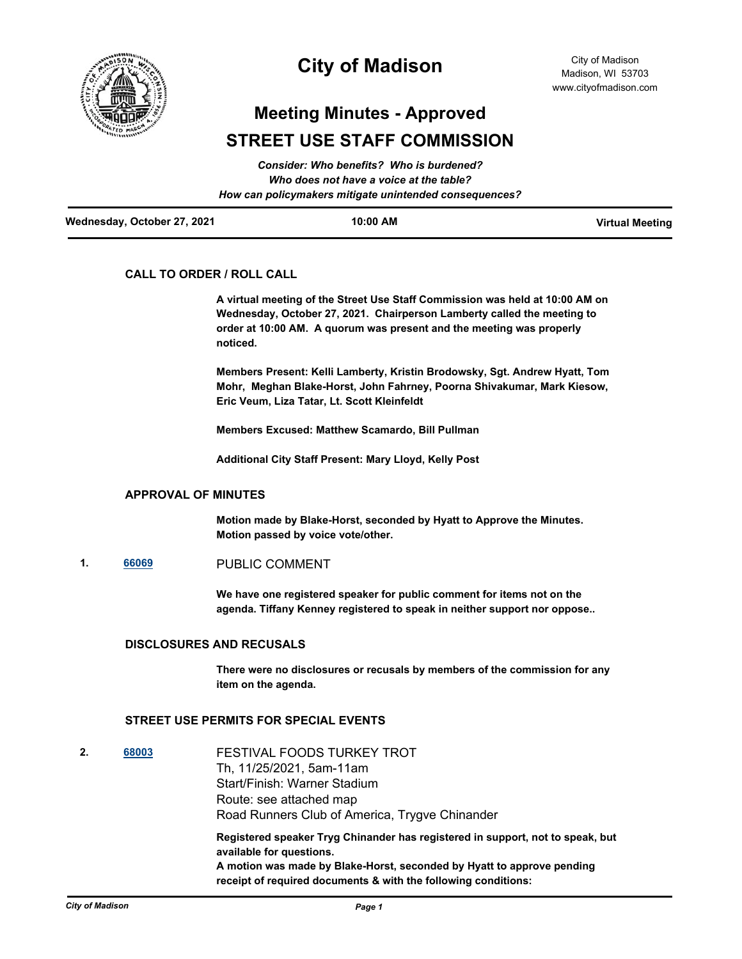

# **City of Madison**

# **Meeting Minutes - Approved STREET USE STAFF COMMISSION**

|                             | Consider: Who benefits? Who is burdened?               |                        |
|-----------------------------|--------------------------------------------------------|------------------------|
|                             | Who does not have a voice at the table?                |                        |
|                             | How can policymakers mitigate unintended consequences? |                        |
| Wednesday, October 27, 2021 | 10:00 AM                                               | <b>Virtual Meeting</b> |

### **CALL TO ORDER / ROLL CALL**

**A virtual meeting of the Street Use Staff Commission was held at 10:00 AM on Wednesday, October 27, 2021. Chairperson Lamberty called the meeting to order at 10:00 AM. A quorum was present and the meeting was properly noticed.**

**Members Present: Kelli Lamberty, Kristin Brodowsky, Sgt. Andrew Hyatt, Tom Mohr, Meghan Blake-Horst, John Fahrney, Poorna Shivakumar, Mark Kiesow, Eric Veum, Liza Tatar, Lt. Scott Kleinfeldt**

**Members Excused: Matthew Scamardo, Bill Pullman**

**Additional City Staff Present: Mary Lloyd, Kelly Post**

#### **APPROVAL OF MINUTES**

**Motion made by Blake-Horst, seconded by Hyatt to Approve the Minutes. Motion passed by voice vote/other.**

**1. [66069](http://madison.legistar.com/gateway.aspx?m=l&id=/matter.aspx?key=78242)** PUBLIC COMMENT

**We have one registered speaker for public comment for items not on the agenda. Tiffany Kenney registered to speak in neither support nor oppose..**

#### **DISCLOSURES AND RECUSALS**

**There were no disclosures or recusals by members of the commission for any item on the agenda.**

## **STREET USE PERMITS FOR SPECIAL EVENTS**

**2. [68003](http://madison.legistar.com/gateway.aspx?m=l&id=/matter.aspx?key=79785)** FESTIVAL FOODS TURKEY TROT Th, 11/25/2021, 5am-11am Start/Finish: Warner Stadium Route: see attached map Road Runners Club of America, Trygve Chinander **Registered speaker Tryg Chinander has registered in support, not to speak, but available for questions. A motion was made by Blake-Horst, seconded by Hyatt to approve pending receipt of required documents & with the following conditions:**